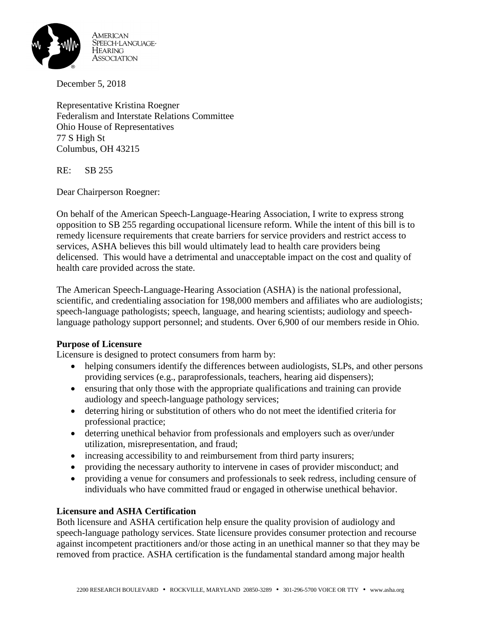

December 5, 2018

Representative Kristina Roegner Federalism and Interstate Relations Committee Ohio House of Representatives 77 S High St Columbus, OH 43215

RE: SB 255

Dear Chairperson Roegner:

On behalf of the American Speech-Language-Hearing Association, I write to express strong opposition to SB 255 regarding occupational licensure reform. While the intent of this bill is to remedy licensure requirements that create barriers for service providers and restrict access to services, ASHA believes this bill would ultimately lead to health care providers being delicensed. This would have a detrimental and unacceptable impact on the cost and quality of health care provided across the state.

The American Speech-Language-Hearing Association (ASHA) is the national professional, scientific, and credentialing association for 198,000 members and affiliates who are audiologists; speech-language pathologists; speech, language, and hearing scientists; audiology and speechlanguage pathology support personnel; and students. Over 6,900 of our members reside in Ohio.

### **Purpose of Licensure**

Licensure is designed to protect consumers from harm by:

- helping consumers identify the differences between audiologists, SLPs, and other persons providing services (e.g., paraprofessionals, teachers, hearing aid dispensers);
- ensuring that only those with the appropriate qualifications and training can provide audiology and speech-language pathology services;
- deterring hiring or substitution of others who do not meet the identified criteria for professional practice;
- deterring unethical behavior from professionals and employers such as over/under utilization, misrepresentation, and fraud;
- increasing accessibility to and reimbursement from third party insurers;
- providing the necessary authority to intervene in cases of provider misconduct; and
- providing a venue for consumers and professionals to seek redress, including censure of individuals who have committed fraud or engaged in otherwise unethical behavior.

### **Licensure and ASHA Certification**

Both licensure and ASHA certification help ensure the quality provision of audiology and speech-language pathology services. State licensure provides consumer protection and recourse against incompetent practitioners and/or those acting in an unethical manner so that they may be removed from practice. ASHA certification is the fundamental standard among major health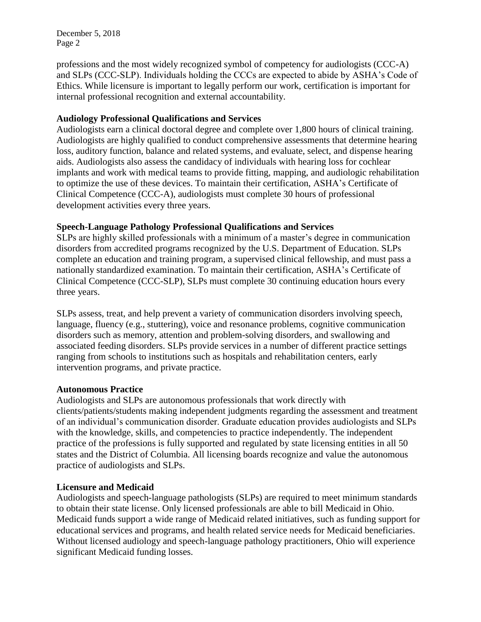December 5, 2018 Page 2

professions and the most widely recognized symbol of competency for audiologists (CCC-A) and SLPs (CCC-SLP). Individuals holding the CCCs are expected to abide by ASHA's Code of Ethics. While licensure is important to legally perform our work, certification is important for internal professional recognition and external accountability.

## **Audiology Professional Qualifications and Services**

Audiologists earn a clinical doctoral degree and complete over 1,800 hours of clinical training. Audiologists are highly qualified to conduct comprehensive assessments that determine hearing loss, auditory function, balance and related systems, and evaluate, select, and dispense hearing aids. Audiologists also assess the candidacy of individuals with hearing loss for cochlear implants and work with medical teams to provide fitting, mapping, and audiologic rehabilitation to optimize the use of these devices. To maintain their certification, ASHA's Certificate of Clinical Competence (CCC-A), audiologists must complete 30 hours of professional development activities every three years.

### **Speech-Language Pathology Professional Qualifications and Services**

SLPs are highly skilled professionals with a minimum of a master's degree in communication disorders from accredited programs recognized by the U.S. Department of Education. SLPs complete an education and training program, a supervised clinical fellowship, and must pass a nationally standardized examination. To maintain their certification, ASHA's Certificate of Clinical Competence (CCC-SLP), SLPs must complete 30 continuing education hours every three years.

SLPs assess, treat, and help prevent a variety of communication disorders involving speech, language, fluency (e.g., stuttering), voice and resonance problems, cognitive communication disorders such as memory, attention and problem-solving disorders, and swallowing and associated feeding disorders. SLPs provide services in a number of different practice settings ranging from schools to institutions such as hospitals and rehabilitation centers, early intervention programs, and private practice.

### **Autonomous Practice**

Audiologists and SLPs are autonomous professionals that work directly with clients/patients/students making independent judgments regarding the assessment and treatment of an individual's communication disorder. Graduate education provides audiologists and SLPs with the knowledge, skills, and competencies to practice independently. The independent practice of the professions is fully supported and regulated by state licensing entities in all 50 states and the District of Columbia. All licensing boards recognize and value the autonomous practice of audiologists and SLPs.

# **Licensure and Medicaid**

Audiologists and speech-language pathologists (SLPs) are required to meet minimum standards to obtain their state license. Only licensed professionals are able to bill Medicaid in Ohio. Medicaid funds support a wide range of Medicaid related initiatives, such as funding support for educational services and programs, and health related service needs for Medicaid beneficiaries. Without licensed audiology and speech-language pathology practitioners, Ohio will experience significant Medicaid funding losses.